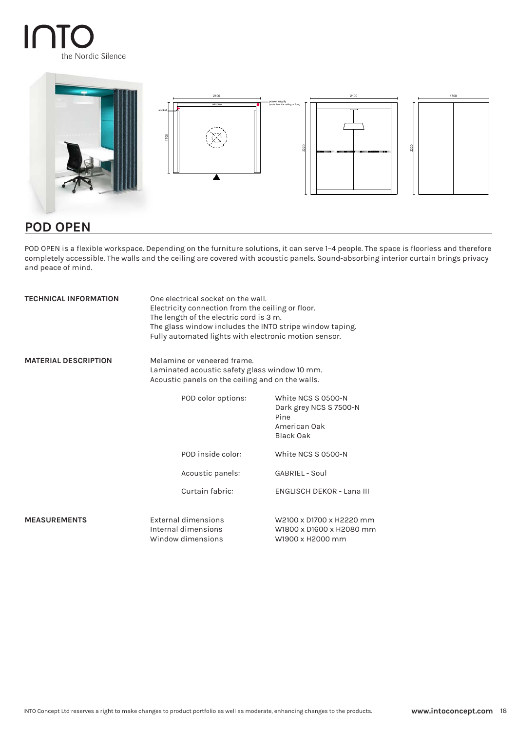# INT the Nordic Silence



# **POD OPEN**

POD OPEN is a flexible workspace. Depending on the furniture solutions, it can serve 1–4 people. The space is floorless and therefore completely accessible. The walls and the ceiling are covered with acoustic panels. Sound-absorbing interior curtain brings privacy and peace of mind.

| <b>TECHNICAL INFORMATION</b> | One electrical socket on the wall.<br>Electricity connection from the ceiling or floor.<br>The length of the electric cord is 3 m.<br>The glass window includes the INTO stripe window taping.<br>Fully automated lights with electronic motion sensor. |                                                                                   |
|------------------------------|---------------------------------------------------------------------------------------------------------------------------------------------------------------------------------------------------------------------------------------------------------|-----------------------------------------------------------------------------------|
| <b>MATERIAL DESCRIPTION</b>  | Melamine or veneered frame.<br>Laminated acoustic safety glass window 10 mm.<br>Acoustic panels on the ceiling and on the walls.                                                                                                                        |                                                                                   |
|                              | POD color options:                                                                                                                                                                                                                                      | White NCS S 0500-N<br>Dark grey NCS S 7500-N<br>Pine<br>American Oak<br>Black Oak |
|                              | POD inside color:                                                                                                                                                                                                                                       | White NCS S 0500-N                                                                |
|                              | Acoustic panels:                                                                                                                                                                                                                                        | GABRIEL - Soul                                                                    |
|                              | Curtain fabric:                                                                                                                                                                                                                                         | <b>ENGLISCH DEKOR - Lana III</b>                                                  |
| <b>MEASUREMENTS</b>          | External dimensions<br>Internal dimensions<br>Window dimensions                                                                                                                                                                                         | W2100 x D1700 x H2220 mm<br>W1800 x D1600 x H2080 mm<br>W1900 x H2000 mm          |